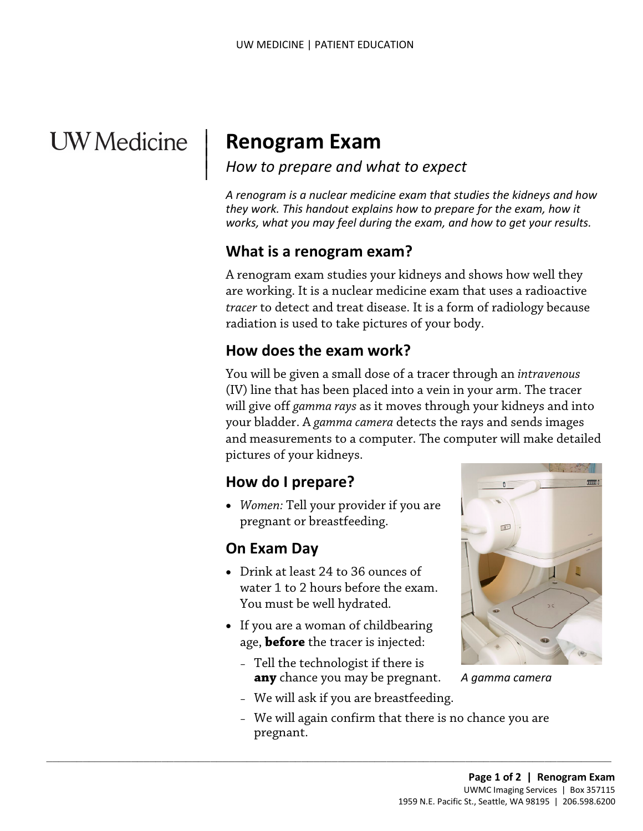# **UW** Medicine

 $\overline{\phantom{a}}$ 

# | **Renogram Exam**

#### *How to prepare and what to expect* | |

*A renogram is a nuclear medicine exam that studies the kidneys and how they work. This handout explains how to prepare for the exam, how it works, what you may feel during the exam, and how to get your results.* 

#### **What is a renogram exam?**

 A renogram exam studies your kidneys and shows how well they are working. It is a nuclear medicine exam that uses a radioactive *tracer* to detect and treat disease. It is a form of radiology because radiation is used to take pictures of your body.

#### **How does the exam work?**

*tracer* to detect and treat disease. It is a form of radiology becall radiation is used to take pictures of your body.<br> **How does the exam work?**<br>
You will be given a small dose of a tracer through an *intraveno*<br>
(IV) li You will be given a small dose of a tracer through an *intravenous*  (IV) line that has been placed into a vein in your arm. The tracer will give off *gamma rays* as it moves through your kidneys and into your bladder. A *gamma camera* detects the rays and sends images and measurements to a computer. The computer will make detailed pictures of your kidneys.

## **How do I prepare?**

• *Women:* Tell your provider if you are pregnant or breastfeeding.

## **On Exam Day**

- Drink at least 24 to 36 ounces of water 1 to 2 hours before the exam. You must be well hydrated.
- If you are a woman of childbearing age, **before** the tracer is injected:

 $\_$  ,  $\_$  ,  $\_$  ,  $\_$  ,  $\_$  ,  $\_$  ,  $\_$  ,  $\_$  ,  $\_$  ,  $\_$  ,  $\_$  ,  $\_$  ,  $\_$  ,  $\_$  ,  $\_$  ,  $\_$  ,  $\_$  ,  $\_$  ,  $\_$  ,  $\_$  ,  $\_$  ,  $\_$  ,  $\_$  ,  $\_$  ,  $\_$  ,  $\_$  ,  $\_$  ,  $\_$  ,  $\_$  ,  $\_$  ,  $\_$  ,  $\_$  ,  $\_$  ,  $\_$  ,  $\_$  ,  $\_$  ,  $\_$  ,

 – Tell the technologist if there is **any** chance you may be pregnant.



*A gamma camera* 

- We will ask if you are breastfeeding.
- We will again confirm that there is no chance you are pregnant.